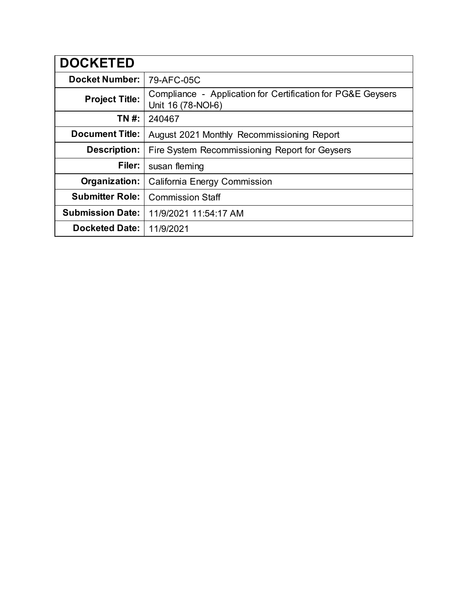| <b>DOCKETED</b>         |                                                                                   |
|-------------------------|-----------------------------------------------------------------------------------|
| <b>Docket Number:</b>   | 79-AFC-05C                                                                        |
| <b>Project Title:</b>   | Compliance - Application for Certification for PG&E Geysers<br>Unit 16 (78-NOI-6) |
| TN #:                   | 240467                                                                            |
| <b>Document Title:</b>  | August 2021 Monthly Recommissioning Report                                        |
| <b>Description:</b>     | Fire System Recommissioning Report for Geysers                                    |
| Filer:                  | susan fleming                                                                     |
| Organization:           | <b>California Energy Commission</b>                                               |
| <b>Submitter Role:</b>  | <b>Commission Staff</b>                                                           |
| <b>Submission Date:</b> | 11/9/2021 11:54:17 AM                                                             |
| <b>Docketed Date:</b>   | 11/9/2021                                                                         |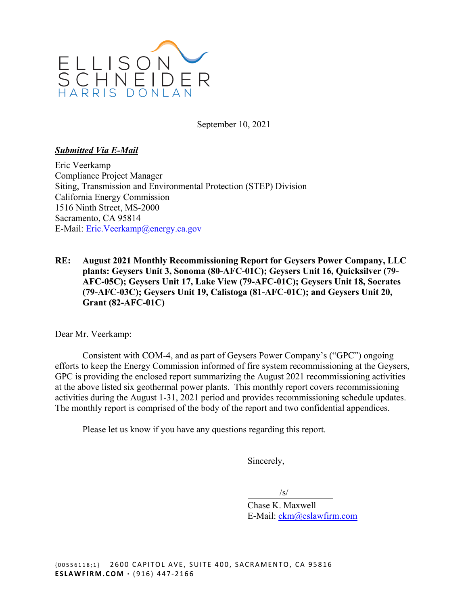

September 10, 2021

### *Submitted Via E-Mail*

Eric Veerkamp Compliance Project Manager Siting, Transmission and Environmental Protection (STEP) Division California Energy Commission 1516 Ninth Street, MS-2000 Sacramento, CA 95814 E-Mail: [Eric.Veerkamp@energy.ca.gov](mailto:Eric.Veerkamp@energy.ca.gov) 

**RE: August 2021 Monthly Recommissioning Report for Geysers Power Company, LLC plants: Geysers Unit 3, Sonoma (80-AFC-01C); Geysers Unit 16, Quicksilver (79- AFC-05C); Geysers Unit 17, Lake View (79-AFC-01C); Geysers Unit 18, Socrates (79-AFC-03C); Geysers Unit 19, Calistoga (81-AFC-01C); and Geysers Unit 20, Grant (82-AFC-01C)** 

Dear Mr. Veerkamp:

Consistent with COM-4, and as part of Geysers Power Company's ("GPC") ongoing efforts to keep the Energy Commission informed of fire system recommissioning at the Geysers, GPC is providing the enclosed report summarizing the August 2021 recommissioning activities at the above listed six geothermal power plants. This monthly report covers recommissioning activities during the August 1-31, 2021 period and provides recommissioning schedule updates. The monthly report is comprised of the body of the report and two confidential appendices.

Please let us know if you have any questions regarding this report.

Sincerely,

 $\sqrt{s}$ 

Chase K. Maxwell E-Mail: [ckm@eslawfirm.com](mailto:ckm@eslawfirm.com)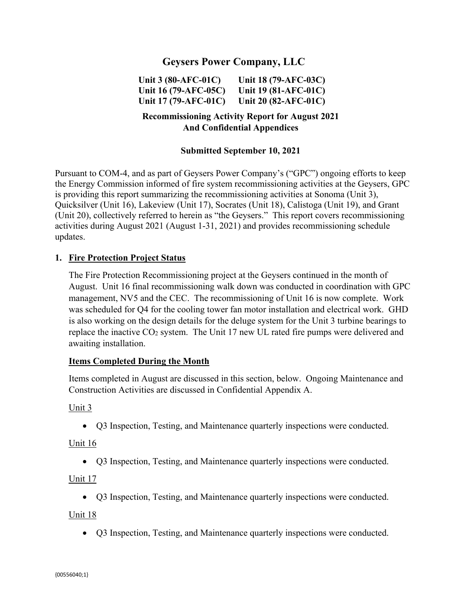# **Geysers Power Company, LLC**

**Unit 3 (80-AFC-01C) Unit 18 (79-AFC-03C) Unit 16 (79-AFC-05C) Unit 19 (81-AFC-01C) Unit 17 (79-AFC-01C) Unit 20 (82-AFC-01C)** 

## **Recommissioning Activity Report for August 2021 And Confidential Appendices**

#### **Submitted September 10, 2021**

Pursuant to COM-4, and as part of Geysers Power Company's ("GPC") ongoing efforts to keep the Energy Commission informed of fire system recommissioning activities at the Geysers, GPC is providing this report summarizing the recommissioning activities at Sonoma (Unit 3), Quicksilver (Unit 16), Lakeview (Unit 17), Socrates (Unit 18), Calistoga (Unit 19), and Grant (Unit 20), collectively referred to herein as "the Geysers." This report covers recommissioning activities during August 2021 (August 1-31, 2021) and provides recommissioning schedule updates.

#### **1. Fire Protection Project Status**

The Fire Protection Recommissioning project at the Geysers continued in the month of August. Unit 16 final recommissioning walk down was conducted in coordination with GPC management, NV5 and the CEC. The recommissioning of Unit 16 is now complete. Work was scheduled for Q4 for the cooling tower fan motor installation and electrical work. GHD is also working on the design details for the deluge system for the Unit 3 turbine bearings to replace the inactive CO<sub>2</sub> system. The Unit 17 new UL rated fire pumps were delivered and awaiting installation.

#### **Items Completed During the Month**

Items completed in August are discussed in this section, below. Ongoing Maintenance and Construction Activities are discussed in Confidential Appendix A.

#### Unit 3

Q3 Inspection, Testing, and Maintenance quarterly inspections were conducted.

#### Unit 16

Q3 Inspection, Testing, and Maintenance quarterly inspections were conducted.

#### Unit 17

Q3 Inspection, Testing, and Maintenance quarterly inspections were conducted.

Unit 18

Q3 Inspection, Testing, and Maintenance quarterly inspections were conducted.